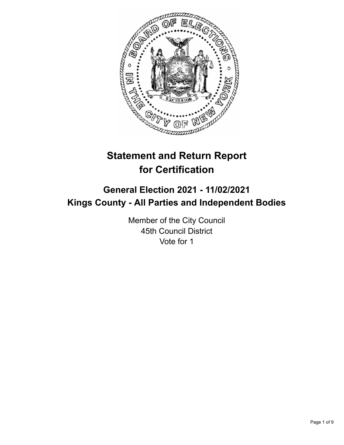

# **Statement and Return Report for Certification**

## **General Election 2021 - 11/02/2021 Kings County - All Parties and Independent Bodies**

Member of the City Council 45th Council District Vote for 1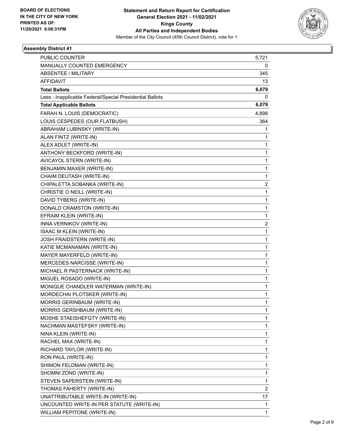

| PUBLIC COUNTER                                           | 5,721          |
|----------------------------------------------------------|----------------|
| MANUALLY COUNTED EMERGENCY                               | 0              |
| <b>ABSENTEE / MILITARY</b>                               | 345            |
| <b>AFFIDAVIT</b>                                         | 13             |
| <b>Total Ballots</b>                                     | 6,079          |
| Less - Inapplicable Federal/Special Presidential Ballots | 0              |
| <b>Total Applicable Ballots</b>                          | 6,079          |
| FARAH N. LOUIS (DEMOCRATIC)                              | 4,898          |
| LOUIS CESPEDES (OUR FLATBUSH)                            | 364            |
| ABRAHAM LUBINSKY (WRITE-IN)                              | 1              |
| ALAN FINTZ (WRITE-IN)                                    | 1              |
| ALEX ADLET (WRITE-IN)                                    | 1              |
| ANTHONY BECKFORD (WRITE-IN)                              | $\mathbf 1$    |
| AVICAYOL STERN (WRITE-IN)                                | $\mathbf 1$    |
| BENJAMIN MAXER (WRITE-IN)                                | 1              |
| CHAIM DEUTASH (WRITE-IN)                                 | 1              |
| CHIPALETTA SOBANKA (WRITE-IN)                            | 2              |
| CHRISTIE O NEILL (WRITE-IN)                              | 1              |
| DAVID TYBERG (WRITE-IN)                                  | $\mathbf 1$    |
| DONALD CRAMSTON (WRITE-IN)                               | $\mathbf{1}$   |
| EFRAIM KLEIN (WRITE-IN)                                  | 1              |
| INNA VERNIKOV (WRITE-IN)                                 | 2              |
| <b>ISAAC M KLEIN (WRITE-IN)</b>                          | $\mathbf{1}$   |
| JOSH FRAIDSTERN (WRITE-IN)                               | 1              |
| KATIE MCMANAMAN (WRITE-IN)                               | $\mathbf 1$    |
| MAYER MAYERFELD (WRITE-IN)                               | $\mathbf{1}$   |
| MERCEDES NARCISSE (WRITE-IN)                             | 1              |
| MICHAEL R PASTERNACK (WRITE-IN)                          | 1              |
| MIGUEL ROSADO (WRITE-IN)                                 | $\mathbf{1}$   |
| MONIQUE CHANDLER WATERMAN (WRITE-IN)                     | 1              |
| MORDECHAI PLOTSKER (WRITE-IN)                            | $\mathbf{1}$   |
| MORRIS GERINBAUM (WRITE-IN)                              | 1              |
| MORRIS GERSHBAUM (WRITE-IN)                              | 1              |
| MOSHE STAEISHEFGTY (WRITE-IN)                            | 1              |
| NACHMAN MASTEFSKY (WRITE-IN)                             | $\mathbf 1$    |
| NINA KLEIN (WRITE-IN)                                    | 1              |
| RACHEL MAX (WRITE-IN)                                    | 1              |
| RICHARD TAYLOR (WRITE-IN)                                | 1              |
| RON PAUL (WRITE-IN)                                      | 1              |
| SHIMON FELDMAN (WRITE-IN)                                | 1              |
| SHOMNI ZOND (WRITE-IN)                                   | $\mathbf 1$    |
| STEVEN SAPERSTEIN (WRITE-IN)                             | 1              |
| THOMAS FAHERTY (WRITE-IN)                                | $\overline{c}$ |
| UNATTRIBUTABLE WRITE-IN (WRITE-IN)                       | 17             |
| UNCOUNTED WRITE-IN PER STATUTE (WRITE-IN)                | 1              |
| WILLIAM PEPITONE (WRITE-IN)                              | $\mathbf{1}$   |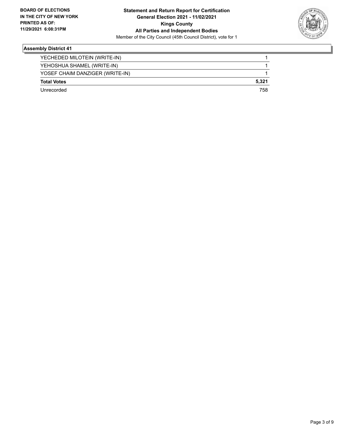

| YECHEDED MILOTEIN (WRITE-IN)    |       |
|---------------------------------|-------|
| YEHOSHUA SHAMEL (WRITE-IN)      |       |
| YOSEF CHAIM DANZIGER (WRITE-IN) |       |
| <b>Total Votes</b>              | 5,321 |
| l Inrecorded                    | 758   |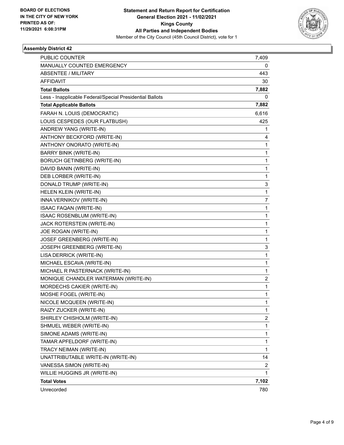

| <b>PUBLIC COUNTER</b>                                    | 7,409        |
|----------------------------------------------------------|--------------|
| MANUALLY COUNTED EMERGENCY                               | 0            |
| ABSENTEE / MILITARY                                      | 443          |
| <b>AFFIDAVIT</b>                                         | 30           |
| <b>Total Ballots</b>                                     | 7,882        |
| Less - Inapplicable Federal/Special Presidential Ballots | 0            |
| <b>Total Applicable Ballots</b>                          | 7,882        |
| FARAH N. LOUIS (DEMOCRATIC)                              | 6,616        |
| LOUIS CESPEDES (OUR FLATBUSH)                            | 425          |
| ANDREW YANG (WRITE-IN)                                   | 1            |
| ANTHONY BECKFORD (WRITE-IN)                              | 4            |
| ANTHONY ONORATO (WRITE-IN)                               | 1            |
| <b>BARRY BINIK (WRITE-IN)</b>                            | 1            |
| <b>BORUCH GETINBERG (WRITE-IN)</b>                       | 1            |
| DAVID BANIN (WRITE-IN)                                   | $\mathbf 1$  |
| DEB LORBER (WRITE-IN)                                    | 1            |
| DONALD TRUMP (WRITE-IN)                                  | 3            |
| HELEN KLEIN (WRITE-IN)                                   | $\mathbf{1}$ |
| INNA VERNIKOV (WRITE-IN)                                 | 7            |
| <b>ISAAC FAQAN (WRITE-IN)</b>                            | 1            |
| ISAAC ROSENBLUM (WRITE-IN)                               | $\mathbf 1$  |
| JACK ROTERSTEIN (WRITE-IN)                               | 1            |
| JOE ROGAN (WRITE-IN)                                     | 1            |
| JOSEF GREENBERG (WRITE-IN)                               | 1            |
| JOSEPH GREENBERG (WRITE-IN)                              | 3            |
| LISA DERRICK (WRITE-IN)                                  | 1            |
| MICHAEL ESCAVA (WRITE-IN)                                | $\mathbf 1$  |
| MICHAEL R PASTERNACK (WRITE-IN)                          | 1            |
| MONIQUE CHANDLER WATERMAN (WRITE-IN)                     | 2            |
| MORDECHS CAKIER (WRITE-IN)                               | $\mathbf{1}$ |
| MOSHE FOGEL (WRITE-IN)                                   | 1            |
| NICOLE MCQUEEN (WRITE-IN)                                | 1            |
| RAIZY ZUCKER (WRITE-IN)                                  | 1            |
| SHIRLEY CHISHOLM (WRITE-IN)                              | 2            |
| SHMUEL WEBER (WRITE-IN)                                  | 1            |
| SIMONE ADAMS (WRITE-IN)                                  | $\mathbf 1$  |
| TAMAR APFELDORF (WRITE-IN)                               | 1            |
| TRACY NEIMAN (WRITE-IN)                                  | 1            |
| UNATTRIBUTABLE WRITE-IN (WRITE-IN)                       | 14           |
| VANESSA SIMON (WRITE-IN)                                 | 2            |
| WILLIE HUGGINS JR (WRITE-IN)                             | 1            |
| <b>Total Votes</b>                                       | 7,102        |
| Unrecorded                                               | 780          |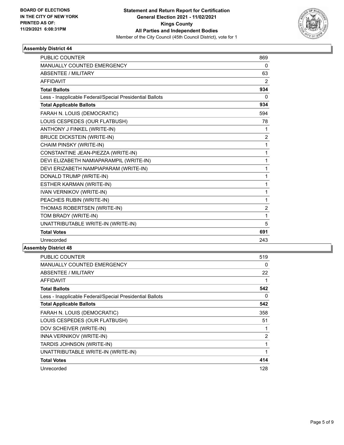

| <b>PUBLIC COUNTER</b>                                    | 869            |
|----------------------------------------------------------|----------------|
| <b>MANUALLY COUNTED EMERGENCY</b>                        | $\mathbf{0}$   |
| ABSENTEE / MILITARY                                      | 63             |
| <b>AFFIDAVIT</b>                                         | 2              |
| <b>Total Ballots</b>                                     | 934            |
| Less - Inapplicable Federal/Special Presidential Ballots | $\Omega$       |
| <b>Total Applicable Ballots</b>                          | 934            |
| FARAH N. LOUIS (DEMOCRATIC)                              | 594            |
| LOUIS CESPEDES (OUR FLATBUSH)                            | 78             |
| ANTHONY J FINKEL (WRITE-IN)                              | 1              |
| <b>BRUCE DICKSTEIN (WRITE-IN)</b>                        | $\overline{2}$ |
| CHAIM PINSKY (WRITE-IN)                                  | 1              |
| CONSTANTINE JEAN-PIEZZA (WRITE-IN)                       | 1              |
| DEVI ELIZABETH NAMIAPARAMPIL (WRITE-IN)                  | 1              |
| DEVI ERIZABETH NAMPIAPARAM (WRITE-IN)                    | 1              |
| DONALD TRUMP (WRITE-IN)                                  | 1              |
| ESTHER KARMAN (WRITE-IN)                                 | 1              |
| <b>IVAN VERNIKOV (WRITE-IN)</b>                          | 1              |
| PEACHES RUBIN (WRITE-IN)                                 | 1              |
| THOMAS ROBERTSEN (WRITE-IN)                              | $\overline{2}$ |
| TOM BRADY (WRITE-IN)                                     | 1              |
| UNATTRIBUTABLE WRITE-IN (WRITE-IN)                       | 5              |
| <b>Total Votes</b>                                       | 691            |
| Unrecorded                                               | 243            |

| <b>PUBLIC COUNTER</b>                                    | 519 |
|----------------------------------------------------------|-----|
| <b>MANUALLY COUNTED EMERGENCY</b>                        | 0   |
| ABSENTEE / MILITARY                                      | 22  |
| <b>AFFIDAVIT</b>                                         | 1   |
| <b>Total Ballots</b>                                     | 542 |
| Less - Inapplicable Federal/Special Presidential Ballots | 0   |
| <b>Total Applicable Ballots</b>                          | 542 |
| FARAH N. LOUIS (DEMOCRATIC)                              | 358 |
| LOUIS CESPEDES (OUR FLATBUSH)                            | 51  |
| DOV SCHEIVER (WRITE-IN)                                  | 1   |
| INNA VERNIKOV (WRITE-IN)                                 | 2   |
| TARDIS JOHNSON (WRITE-IN)                                | 1   |
| UNATTRIBUTABLE WRITE-IN (WRITE-IN)                       | 1   |
| <b>Total Votes</b>                                       | 414 |
| Unrecorded                                               | 128 |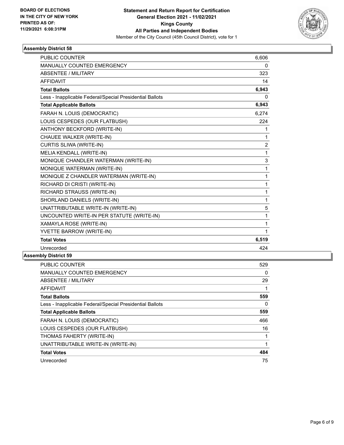

| <b>PUBLIC COUNTER</b>                                    | 6,606          |
|----------------------------------------------------------|----------------|
| <b>MANUALLY COUNTED EMERGENCY</b>                        | 0              |
| <b>ABSENTEE / MILITARY</b>                               | 323            |
| <b>AFFIDAVIT</b>                                         | 14             |
| <b>Total Ballots</b>                                     | 6,943          |
| Less - Inapplicable Federal/Special Presidential Ballots | 0              |
| <b>Total Applicable Ballots</b>                          | 6,943          |
| FARAH N. LOUIS (DEMOCRATIC)                              | 6,274          |
| LOUIS CESPEDES (OUR FLATBUSH)                            | 224            |
| ANTHONY BECKFORD (WRITE-IN)                              | 1              |
| CHAUEE WALKER (WRITE-IN)                                 | 1              |
| CURTIS SLIWA (WRITE-IN)                                  | $\overline{2}$ |
| MELIA KENDALL (WRITE-IN)                                 | 1              |
| MONIQUE CHANDLER WATERMAN (WRITE-IN)                     | 3              |
| MONIQUE WATERMAN (WRITE-IN)                              | 1              |
| MONIQUE Z CHANDLER WATERMAN (WRITE-IN)                   | 1              |
| RICHARD DI CRISTI (WRITE-IN)                             | 1              |
| RICHARD STRAUSS (WRITE-IN)                               | 1              |
| SHORLAND DANIELS (WRITE-IN)                              | 1              |
| UNATTRIBUTABLE WRITE-IN (WRITE-IN)                       | 5              |
| UNCOUNTED WRITE-IN PER STATUTE (WRITE-IN)                | 1              |
| XAMAYLA ROSE (WRITE-IN)                                  | 1              |
| YVETTE BARROW (WRITE-IN)                                 | 1              |
| <b>Total Votes</b>                                       | 6,519          |
| Unrecorded                                               | 424            |

| PUBLIC COUNTER                                           | 529 |
|----------------------------------------------------------|-----|
| <b>MANUALLY COUNTED EMERGENCY</b>                        | 0   |
| ABSENTEE / MILITARY                                      | 29  |
| AFFIDAVIT                                                |     |
| <b>Total Ballots</b>                                     | 559 |
| Less - Inapplicable Federal/Special Presidential Ballots | 0   |
| <b>Total Applicable Ballots</b>                          | 559 |
| FARAH N. LOUIS (DEMOCRATIC)                              | 466 |
| LOUIS CESPEDES (OUR FLATBUSH)                            | 16  |
| THOMAS FAHERTY (WRITE-IN)                                |     |
| UNATTRIBUTABLE WRITE-IN (WRITE-IN)                       | 1   |
| <b>Total Votes</b>                                       | 484 |
| Unrecorded                                               | 75  |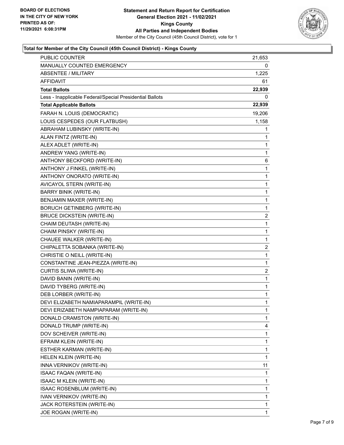

## **Total for Member of the City Council (45th Council District) - Kings County**

| PUBLIC COUNTER                                           | 21,653                  |
|----------------------------------------------------------|-------------------------|
| MANUALLY COUNTED EMERGENCY                               | 0                       |
| <b>ABSENTEE / MILITARY</b>                               | 1,225                   |
| <b>AFFIDAVIT</b>                                         | 61                      |
| <b>Total Ballots</b>                                     | 22,939                  |
| Less - Inapplicable Federal/Special Presidential Ballots | 0                       |
| <b>Total Applicable Ballots</b>                          | 22,939                  |
| FARAH N. LOUIS (DEMOCRATIC)                              | 19,206                  |
| LOUIS CESPEDES (OUR FLATBUSH)                            | 1,158                   |
| ABRAHAM LUBINSKY (WRITE-IN)                              | 1                       |
| ALAN FINTZ (WRITE-IN)                                    | 1                       |
| ALEX ADLET (WRITE-IN)                                    | 1                       |
| ANDREW YANG (WRITE-IN)                                   | 1                       |
| ANTHONY BECKFORD (WRITE-IN)                              | 6                       |
| ANTHONY J FINKEL (WRITE-IN)                              | 1                       |
| ANTHONY ONORATO (WRITE-IN)                               | 1                       |
| AVICAYOL STERN (WRITE-IN)                                | $\mathbf 1$             |
| <b>BARRY BINIK (WRITE-IN)</b>                            | 1                       |
| BENJAMIN MAXER (WRITE-IN)                                | 1                       |
| <b>BORUCH GETINBERG (WRITE-IN)</b>                       | $\mathbf 1$             |
| <b>BRUCE DICKSTEIN (WRITE-IN)</b>                        | $\overline{\mathbf{c}}$ |
| CHAIM DEUTASH (WRITE-IN)                                 | 1                       |
| CHAIM PINSKY (WRITE-IN)                                  | $\mathbf 1$             |
| CHAUEE WALKER (WRITE-IN)                                 | 1                       |
| CHIPALETTA SOBANKA (WRITE-IN)                            | 2                       |
| CHRISTIE O NEILL (WRITE-IN)                              | $\mathbf 1$             |
| CONSTANTINE JEAN-PIEZZA (WRITE-IN)                       | 1                       |
| CURTIS SLIWA (WRITE-IN)                                  | 2                       |
| DAVID BANIN (WRITE-IN)                                   | $\mathbf 1$             |
| DAVID TYBERG (WRITE-IN)                                  | 1                       |
| DEB LORBER (WRITE-IN)                                    | 1                       |
| DEVI ELIZABETH NAMIAPARAMPIL (WRITE-IN)                  | $\mathbf{1}$            |
| DEVI ERIZABETH NAMPIAPARAM (WRITE-IN)                    | 1                       |
| DONALD CRAMSTON (WRITE-IN)                               | 1                       |
| DONALD TRUMP (WRITE-IN)                                  | 4                       |
| DOV SCHEIVER (WRITE-IN)                                  | 1                       |
| EFRAIM KLEIN (WRITE-IN)                                  | 1                       |
| ESTHER KARMAN (WRITE-IN)                                 | $\mathbf 1$             |
| HELEN KLEIN (WRITE-IN)                                   | 1                       |
| INNA VERNIKOV (WRITE-IN)                                 | 11                      |
| <b>ISAAC FAQAN (WRITE-IN)</b>                            | 1                       |
| <b>ISAAC M KLEIN (WRITE-IN)</b>                          | 1                       |
| ISAAC ROSENBLUM (WRITE-IN)                               | 1                       |
| IVAN VERNIKOV (WRITE-IN)                                 | $\mathbf 1$             |
| JACK ROTERSTEIN (WRITE-IN)                               | 1                       |
| JOE ROGAN (WRITE-IN)                                     | 1                       |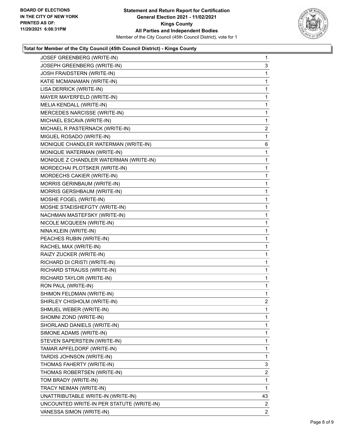

## **Total for Member of the City Council (45th Council District) - Kings County**

| JOSEF GREENBERG (WRITE-IN)                | $\mathbf{1}$   |
|-------------------------------------------|----------------|
| JOSEPH GREENBERG (WRITE-IN)               | 3              |
| JOSH FRAIDSTERN (WRITE-IN)                | 1              |
| KATIE MCMANAMAN (WRITE-IN)                | $\mathbf{1}$   |
| LISA DERRICK (WRITE-IN)                   | 1              |
| MAYER MAYERFELD (WRITE-IN)                | 1              |
| MELIA KENDALL (WRITE-IN)                  | $\mathbf{1}$   |
| MERCEDES NARCISSE (WRITE-IN)              | $\mathbf{1}$   |
| MICHAEL ESCAVA (WRITE-IN)                 | 1              |
| MICHAEL R PASTERNACK (WRITE-IN)           | $\overline{c}$ |
| MIGUEL ROSADO (WRITE-IN)                  | 1              |
| MONIQUE CHANDLER WATERMAN (WRITE-IN)      | 6              |
| MONIQUE WATERMAN (WRITE-IN)               | $\mathbf{1}$   |
| MONIQUE Z CHANDLER WATERMAN (WRITE-IN)    | 1              |
| MORDECHAI PLOTSKER (WRITE-IN)             | 1              |
| MORDECHS CAKIER (WRITE-IN)                | $\mathbf{1}$   |
| MORRIS GERINBAUM (WRITE-IN)               | 1              |
| MORRIS GERSHBAUM (WRITE-IN)               | 1              |
| MOSHE FOGEL (WRITE-IN)                    | $\mathbf{1}$   |
| MOSHE STAEISHEFGTY (WRITE-IN)             | 1              |
| NACHMAN MASTEFSKY (WRITE-IN)              | 1              |
| NICOLE MCQUEEN (WRITE-IN)                 | $\mathbf{1}$   |
| NINA KLEIN (WRITE-IN)                     | 1              |
| PEACHES RUBIN (WRITE-IN)                  | 1              |
| RACHEL MAX (WRITE-IN)                     | $\mathbf{1}$   |
| RAIZY ZUCKER (WRITE-IN)                   | 1              |
| RICHARD DI CRISTI (WRITE-IN)              | 1              |
| RICHARD STRAUSS (WRITE-IN)                | $\mathbf{1}$   |
| RICHARD TAYLOR (WRITE-IN)                 | 1              |
| RON PAUL (WRITE-IN)                       | 1              |
| SHIMON FELDMAN (WRITE-IN)                 | $\mathbf{1}$   |
| SHIRLEY CHISHOLM (WRITE-IN)               | $\overline{2}$ |
| SHMUEL WEBER (WRITE-IN)                   | 1              |
| SHOMNI ZOND (WRITE-IN)                    | 1              |
| SHORLAND DANIELS (WRITE-IN)               | 1              |
| SIMONE ADAMS (WRITE-IN)                   | 1              |
| STEVEN SAPERSTEIN (WRITE-IN)              | 1              |
| TAMAR APFELDORF (WRITE-IN)                | 1              |
| TARDIS JOHNSON (WRITE-IN)                 | 1              |
| THOMAS FAHERTY (WRITE-IN)                 | 3              |
| THOMAS ROBERTSEN (WRITE-IN)               | 2              |
| TOM BRADY (WRITE-IN)                      | 1              |
| TRACY NEIMAN (WRITE-IN)                   | 1              |
| UNATTRIBUTABLE WRITE-IN (WRITE-IN)        | 43             |
| UNCOUNTED WRITE-IN PER STATUTE (WRITE-IN) | 2              |
| VANESSA SIMON (WRITE-IN)                  | $\mathbf{2}$   |
|                                           |                |